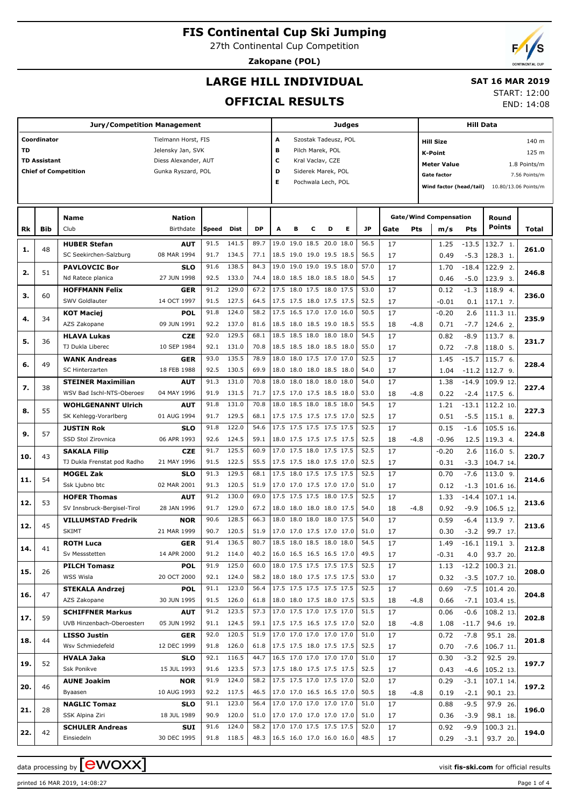27th Continental Cup Competition

**Zakopane (POL)**

# **LARGE HILL INDIVIDUAL**

### **SAT 16 MAR 2019**

### **OFFICIAL RESULTS**

START: 12:00

END: 14:08

|     | <b>Jury/Competition Management</b> |                                                    |                            |              |                |              |                                 |   |   |                                                      | <b>Judges</b> |              |          | <b>Hill Data</b> |                                      |                   |                        |               |
|-----|------------------------------------|----------------------------------------------------|----------------------------|--------------|----------------|--------------|---------------------------------|---|---|------------------------------------------------------|---------------|--------------|----------|------------------|--------------------------------------|-------------------|------------------------|---------------|
|     | Coordinator                        |                                                    | Tielmann Horst, FIS        |              |                |              | A                               |   |   | Szostak Tadeusz, POL                                 |               |              |          |                  | <b>Hill Size</b>                     |                   |                        | 140 m         |
| TD  |                                    |                                                    | Jelensky Jan, SVK          |              |                |              | в                               |   |   | Pilch Marek, POL                                     |               |              |          |                  | K-Point                              |                   |                        | 125 m         |
|     | <b>TD Assistant</b>                |                                                    | Diess Alexander, AUT       |              |                |              | c                               |   |   | Kral Vaclav, CZE                                     |               |              |          |                  | <b>Meter Value</b>                   |                   |                        | 1.8 Points/m  |
|     |                                    | <b>Chief of Competition</b>                        | Gunka Ryszard, POL         |              |                |              | D                               |   |   | Siderek Marek, POL                                   |               |              |          |                  | <b>Gate factor</b>                   |                   |                        | 7.56 Points/m |
|     |                                    |                                                    |                            |              |                |              | Е                               |   |   | Pochwala Lech, POL                                   |               |              |          |                  | Wind factor (head/tail)              |                   | 10.80/13.06 Points/m   |               |
|     |                                    |                                                    |                            |              |                |              |                                 |   |   |                                                      |               |              |          |                  |                                      |                   |                        |               |
|     |                                    |                                                    |                            |              |                |              |                                 |   |   |                                                      |               |              |          |                  |                                      |                   |                        |               |
| Rk  | Bib                                | Name<br>Club                                       | <b>Nation</b><br>Birthdate | Speed        | Dist           | <b>DP</b>    | A                               | в | c | D                                                    | Е             | <b>JP</b>    | Gate     | Pts              | <b>Gate/Wind Compensation</b><br>m/s | <b>Pts</b>        | Round<br>Points        | Total         |
|     |                                    |                                                    |                            |              |                |              |                                 |   |   |                                                      |               |              |          |                  |                                      |                   |                        |               |
| 1.  | 48                                 | <b>HUBER Stefan</b>                                | <b>AUT</b>                 | 91.5         | 141.5          | 89.7         |                                 |   |   | 19.0 19.0 18.5 20.0 18.0                             |               | 56.5         | 17       |                  | 1.25                                 | $-13.5$           | 132.7 1.               | 261.0         |
|     |                                    | SC Seekirchen-Salzburg<br><b>PAVLOVCIC Bor</b>     | 08 MAR 1994<br><b>SLO</b>  | 91.7<br>91.6 | 134.5<br>138.5 | 77.1<br>84.3 |                                 |   |   | 18.5 19.0 19.0 19.5 18.5<br>19.0 19.0 19.0 19.5 18.0 |               | 56.5<br>57.0 | 17<br>17 |                  | 0.49<br>1.70                         | $-5.3$<br>$-18.4$ | 128.3 1.<br>122.9 2.   |               |
| 2.  | 51                                 | Nd Ratece planica                                  | 27 JUN 1998                | 92.5         | 133.0          | 74.4         |                                 |   |   | 18.0 18.5 18.0 18.5 18.0                             |               | 54.5         | 17       |                  | 0.46                                 | $-5.0$            | 123.9 3.               | 246.8         |
|     |                                    | <b>HOFFMANN Felix</b>                              | <b>GER</b>                 | 91.2         | 129.0          | 67.2         |                                 |   |   | 17.5 18.0 17.5 18.0 17.5                             |               | 53.0         | 17       |                  | 0.12                                 | $-1.3$            | 118.9 4.               |               |
| 3.  | 60                                 | SWV Goldlauter                                     | 14 OCT 1997                | 91.5         | 127.5          | 64.5         |                                 |   |   | 17.5 17.5 18.0 17.5 17.5                             |               | 52.5         | 17       |                  | $-0.01$                              | 0.1               | 117.1 7.               | 236.0         |
|     |                                    | <b>KOT Maciej</b>                                  | <b>POL</b>                 | 91.8         | 124.0          | 58.2         |                                 |   |   | 17.5 16.5 17.0 17.0 16.0                             |               | 50.5         | 17       |                  | $-0.20$                              | 2.6               | 111.3 11.              |               |
| 4.  | 34                                 | AZS Zakopane                                       | 09 JUN 1991                | 92.2         | 137.0          | 81.6         |                                 |   |   | 18.5 18.0 18.5 19.0 18.5                             |               | 55.5         | 18       | $-4.8$           | 0.71                                 | $-7.7$            | 124.6 2.               | 235.9         |
|     |                                    | <b>HLAVA Lukas</b>                                 | <b>CZE</b>                 | 92.0         | 129.5          | 68.1         |                                 |   |   | 18.5 18.5 18.0 18.0 18.0                             |               | 54.5         | 17       |                  | 0.82                                 | $-8.9$            | 113.7 8.               |               |
| 5.  | 36                                 | TJ Dukla Liberec                                   | 10 SEP 1984                | 92.1         | 131.0          | 70.8         |                                 |   |   | 18.5 18.5 18.0 18.5 18.0                             |               | 55.0         | 17       |                  | 0.72                                 | $-7.8$            | 118.0 5.               | 231.7         |
|     | 49                                 | <b>WANK Andreas</b>                                | <b>GER</b>                 | 93.0         | 135.5          | 78.9         |                                 |   |   | 18.0 18.0 17.5 17.0 17.0                             |               | 52.5         | 17       |                  | 1.45                                 | $-15.7$           | 115.7 6.               |               |
| 6.  |                                    | SC Hinterzarten                                    | 18 FEB 1988                | 92.5         | 130.5          | 69.9         |                                 |   |   | 18.0 18.0 18.0 18.5 18.0                             |               | 54.0         | 17       |                  | 1.04                                 | $-11.2$           | 112.7 9.               | 228.4         |
| 7.  | 38                                 | <b>STEINER Maximilian</b>                          | <b>AUT</b>                 | 91.3         | 131.0          | 70.8         |                                 |   |   | 18.0 18.0 18.0 18.0 18.0                             |               | 54.0         | 17       |                  | 1.38                                 | $-14.9$           | 109.9 12.              | 227.4         |
|     |                                    | WSV Bad Ischl-NTS-Oberoes                          | 04 MAY 1996                | 91.9         | 131.5          | 71.7         |                                 |   |   | 17.5 17.0 17.5 18.5 18.0                             |               | 53.0         | 18       | $-4.8$           | 0.22                                 | $-2.4$            | 117.5 6.               |               |
| 8.  | 55                                 | <b>WOHLGENANNT Ulrich</b>                          | <b>AUT</b>                 | 91.8         | 131.0          | 70.8         |                                 |   |   | 18.0 18.5 18.0 18.5 18.0                             |               | 54.5         | 17       |                  | 1.21                                 | $-13.1$           | 112.2 10.              | 227.3         |
|     |                                    | SK Kehlegg-Vorarlberg                              | 01 AUG 1994                | 91.7         | 129.5          | 68.1         |                                 |   |   | 17.5 17.5 17.5 17.5 17.0                             |               | 52.5         | 17       |                  | 0.51                                 | $-5.5$            | 115.1 8.               |               |
| 9.  | 57                                 | <b>JUSTIN Rok</b>                                  | <b>SLO</b>                 | 91.8         | 122.0          | 54.6         |                                 |   |   | 17.5 17.5 17.5 17.5 17.5                             |               | 52.5         | 17       |                  | 0.15                                 | $-1.6$            | 105.5 16.              | 224.8         |
|     |                                    | SSD Stol Zirovnica                                 | 06 APR 1993                | 92.6         | 124.5          | 59.1         |                                 |   |   | 18.0 17.5 17.5 17.5 17.5                             |               | 52.5         | 18       | $-4.8$           | $-0.96$                              | 12.5              | 119.3 4.               |               |
| 10. | 43                                 | <b>SAKALA Filip</b>                                | <b>CZE</b>                 | 91.7         | 125.5          | 60.9         |                                 |   |   | 17.0 17.5 18.0 17.5 17.5                             |               | 52.5         | 17       |                  | $-0.20$                              | 2.6               | 116.0 5.               | 220.7         |
|     |                                    | TJ Dukla Frenstat pod Radho                        | 21 MAY 1996                | 91.5         | 122.5          | 55.5         |                                 |   |   | 17.5 17.5 18.0 17.5 17.0                             |               | 52.5         | 17       |                  | 0.31                                 | $-3.3$            | 104.7 14.              |               |
| 11. | 54                                 | <b>MOGEL Zak</b>                                   | <b>SLO</b>                 | 91.3         | 129.5          | 68.1         |                                 |   |   | 17.5 18.0 17.5 17.5 17.5                             |               | 52.5         | 17       |                  | 0.70                                 | $-7.6$            | 113.0 9.               | 214.6         |
|     |                                    | Ssk Ljubno btc                                     | 02 MAR 2001                | 91.3<br>91.2 | 120.5<br>130.0 | 51.9<br>69.0 |                                 |   |   | 17.0 17.0 17.5 17.0 17.0<br>17.5 17.5 17.5 18.0 17.5 |               | 51.0<br>52.5 | 17       |                  | 0.12                                 | $-1.3$            | 101.6 16.              |               |
| 12. | 53                                 | <b>HOFER Thomas</b><br>SV Innsbruck-Bergisel-Tirol | <b>AUT</b><br>28 JAN 1996  | 91.7         | 129.0          | 67.2         |                                 |   |   | 18.0 18.0 18.0 18.0 17.5                             |               | 54.0         | 17<br>18 | $-4.8$           | 1.33<br>0.92                         | $-14.4$<br>$-9.9$ | 107.1 14.<br>106.5 12. | 213.6         |
|     |                                    | <b>VILLUMSTAD Fredrik</b>                          | <b>NOR</b>                 | 90.6         | 128.5          | 66.3         |                                 |   |   | 18.0 18.0 18.0 18.0 17.5                             |               | 54.0         | 17       |                  | 0.59                                 | $-6.4$            | 113.9 7.               |               |
| 12. | 45                                 | <b>SKIMT</b>                                       | 21 MAR 1999                | 90.7         | 120.5          | 51.9         |                                 |   |   | 17.0 17.0 17.5 17.0 17.0                             |               | 51.0         | 17       |                  | 0.30                                 | $-3.2$            | 99.7 17.               | 213.6         |
|     |                                    | <b>ROTH Luca</b>                                   | GER                        | 91.4         | 136.5          | 80.7         | 18.5 18.0 18.5 18.0 18.0        |   |   |                                                      |               | 54.5         | 17       |                  | 1.49                                 | $-16.1$           | 119.1 3.               |               |
| 14. | 41                                 | Sv Messstetten                                     | 14 APR 2000                |              | 91.2 114.0     | 40.2         |                                 |   |   | 16.0 16.5 16.5 16.5 17.0                             |               | 49.5         | 17       |                  | $-0.31$                              | 4.0               | 93.7 20.               | 212.8         |
|     |                                    | <b>PILCH Tomasz</b>                                | <b>POL</b>                 | 91.9         | 125.0          | 60.0         |                                 |   |   | 18.0 17.5 17.5 17.5 17.5                             |               | 52.5         | 17       |                  | 1.13                                 | $-12.2$           | 100.3 21.              |               |
| 15. | 26                                 | WSS Wisla                                          | 20 OCT 2000                | 92.1         | 124.0          | 58.2         |                                 |   |   | 18.0 18.0 17.5 17.5 17.5                             |               | 53.0         | 17       |                  | 0.32                                 | $-3.5$            | 107.7 10.              | 208.0         |
|     |                                    | <b>STEKALA Andrzej</b>                             | <b>POL</b>                 | 91.1         | 123.0          | 56.4         |                                 |   |   | 17.5 17.5 17.5 17.5 17.5                             |               | 52.5         | 17       |                  | 0.69                                 | $-7.5$            | 101.4 20.              |               |
| 16. | 47                                 | AZS Zakopane                                       | 30 JUN 1995                | 91.5         | 126.0          | 61.8         |                                 |   |   | 18.0 18.0 17.5 18.0 17.5                             |               | 53.5         | 18       | -4.8             | 0.66                                 | $-7.1$            | 103.4 15.              | 204.8         |
|     |                                    | <b>SCHIFFNER Markus</b>                            | <b>AUT</b>                 | 91.2         | 123.5          | 57.3         |                                 |   |   | 17.0 17.5 17.0 17.5 17.0                             |               | 51.5         | 17       |                  | 0.06                                 | $-0.6$            | 108.2 13.              |               |
| 17. | 59                                 | UVB Hinzenbach-Oberoesterr                         | 05 JUN 1992                | 91.1         | 124.5          | 59.1         |                                 |   |   | 17.5 17.5 16.5 17.5 17.0                             |               | 52.0         | 18       | -4.8             | 1.08                                 | $-11.7$           | 94.6 19.               | 202.8         |
| 18. | 44                                 | <b>LISSO Justin</b>                                | <b>GER</b>                 | 92.0         | 120.5          | 51.9         |                                 |   |   | 17.0 17.0 17.0 17.0 17.0                             |               | 51.0         | 17       |                  | 0.72                                 | $-7.8$            | 95.1 28.               | 201.8         |
|     |                                    | Wsv Schmiedefeld                                   | 12 DEC 1999                | 91.8         | 126.0          | 61.8         |                                 |   |   | 17.5 17.5 18.0 17.5 17.5                             |               | 52.5         | 17       |                  | 0.70                                 | $-7.6$            | 106.7 11.              |               |
| 19. | 52                                 | <b>HVALA Jaka</b>                                  | <b>SLO</b>                 | 92.1         | 116.5          | 44.7         |                                 |   |   | 16.5 17.0 17.0 17.0 17.0                             |               | 51.0         | 17       |                  | 0.30                                 | $-3.2$            | 92.5 29.               | 197.7         |
|     |                                    | Ssk Ponikve                                        | 15 JUL 1993                | 91.6         | 123.5          | 57.3         |                                 |   |   | 17.5 18.0 17.5 17.5 17.5                             |               | 52.5         | 17       |                  | 0.43                                 | $-4.6$            | 105.2 13.              |               |
| 20. | 46                                 | <b>AUNE Joakim</b>                                 | <b>NOR</b>                 | 91.9         | 124.0          | 58.2         |                                 |   |   | 17.5 17.5 17.0 17.5 17.0                             |               | 52.0         | 17       |                  | 0.29                                 | $-3.1$            | 107.1 14.              | 197.2         |
|     |                                    | Byaasen                                            | 10 AUG 1993                |              | 92.2 117.5     | 46.5         |                                 |   |   | 17.0 17.0 16.5 16.5 17.0                             |               | 50.5         | 18       | $-4.8$           | 0.19                                 | $-2.1$            | 90.1 23.               |               |
| 21. | 28                                 | <b>NAGLIC Tomaz</b>                                | <b>SLO</b>                 | 91.1<br>90.9 | 123.0          | 56.4         |                                 |   |   | 17.0 17.0 17.0 17.0 17.0                             |               | 51.0         | 17       |                  | 0.88                                 | $-9.5$            | 97.9 26.               | 196.0         |
|     |                                    | SSK Alpina Ziri                                    | 18 JUL 1989<br>SUI         | 91.6         | 120.0<br>124.0 | 51.0<br>58.2 |                                 |   |   | 17.0 17.0 17.0 17.0 17.0<br>17.0 17.0 17.5 17.5 17.5 |               | 51.0<br>52.0 | 17<br>17 |                  | 0.36<br>0.92                         | $-3.9$<br>$-9.9$  | 98.1 18.<br>100.3 21.  |               |
| 22. | 42                                 | <b>SCHULER Andreas</b><br>Einsiedeln               | 30 DEC 1995                |              | 91.8 118.5     |              | 48.3   16.5 16.0 17.0 16.0 16.0 |   |   |                                                      |               | 48.5         | 17       |                  | 0.29                                 | -3.1              | 93.7 20.               | 194.0         |
|     |                                    |                                                    |                            |              |                |              |                                 |   |   |                                                      |               |              |          |                  |                                      |                   |                        |               |

data processing by **CWOXX** and  $\overline{C}$  and  $\overline{C}$  and  $\overline{C}$  and  $\overline{C}$  and  $\overline{C}$  and  $\overline{C}$  and  $\overline{C}$  and  $\overline{C}$  and  $\overline{C}$  and  $\overline{C}$  and  $\overline{C}$  and  $\overline{C}$  and  $\overline{C}$  and  $\overline{C}$  and  $\overline{C}$ 

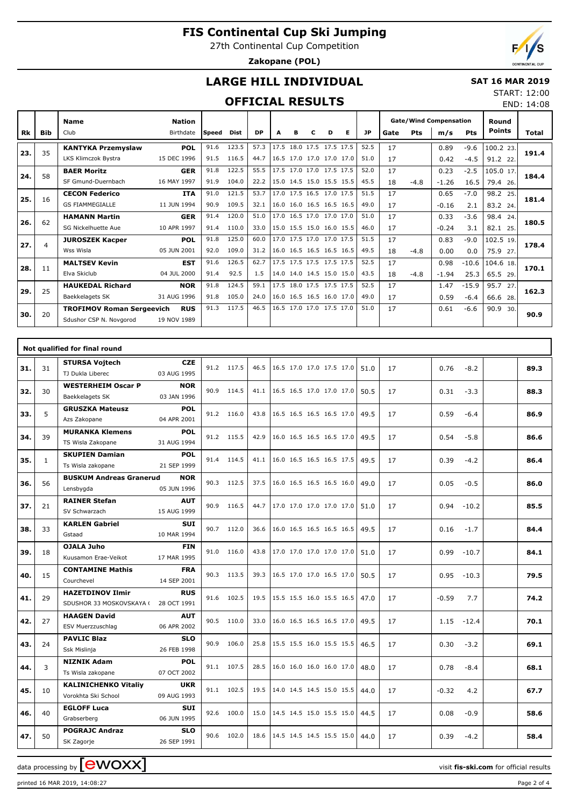27th Continental Cup Competition

**Zakopane (POL)**

## **LARGE HILL INDIVIDUAL**

#### **SAT 16 MAR 2019** START: 12:00

### **OFFICIAL RESULTS**

|           |            |                                  |                            |              | <b>OFFICIAL RESULTS</b> |           |   |   |                          |   |   |      |      |        |                                      |            |                        | END: 14:08 |
|-----------|------------|----------------------------------|----------------------------|--------------|-------------------------|-----------|---|---|--------------------------|---|---|------|------|--------|--------------------------------------|------------|------------------------|------------|
| <b>Rk</b> | <b>Bib</b> | <b>Name</b><br>Club              | <b>Nation</b><br>Birthdate | <b>Speed</b> | <b>Dist</b>             | <b>DP</b> | A | в | C                        | D | Е | JP.  | Gate | Pts    | <b>Gate/Wind Compensation</b><br>m/s | <b>Pts</b> | Round<br><b>Points</b> | Total      |
|           |            |                                  |                            |              |                         |           |   |   |                          |   |   |      |      |        |                                      |            |                        |            |
| 23.       | 35         | <b>KANTYKA Przemyslaw</b>        | <b>POL</b>                 | 91.6         | 123.5                   | 57.3      |   |   | 17.5 18.0 17.5 17.5 17.5 |   |   | 52.5 | 17   |        | 0.89                                 | $-9.6$     | 100.2 23.              | 191.4      |
|           |            | LKS Klimczok Bystra              | 15 DEC 1996                | 91.5         | 116.5                   | 44.7      |   |   | 16.5 17.0 17.0 17.0 17.0 |   |   | 51.0 | 17   |        | 0.42                                 | $-4.5$     | 91.2 22.               |            |
| 24.       | 58         | <b>BAER Moritz</b>               | <b>GER</b>                 | 91.8         | 122.5                   | 55.5      |   |   | 17.5 17.0 17.0 17.5 17.5 |   |   | 52.0 | 17   |        | 0.23                                 | $-2.5$     | 105.0 17.              | 184.4      |
|           |            | SF Gmund-Duernbach               | 16 MAY 1997                | 91.9         | 104.0                   | 22.2      |   |   | 15.0 14.5 15.0 15.5 15.5 |   |   | 45.5 | 18   | $-4.8$ | $-1.26$                              | 16.5       | 79.4 26.               |            |
| 25.       | 16         | <b>CECON Federico</b>            | <b>ITA</b>                 | 91.0         | 121.5                   | 53.7      |   |   | 17.0 17.5 16.5 17.0 17.5 |   |   | 51.5 | 17   |        | 0.65                                 | $-7.0$     | 98.2 25.               | 181.4      |
|           |            | <b>GS FIAMMEGIALLE</b>           | 11 JUN 1994                | 90.9         | 109.5                   | 32.1      |   |   | 16.0 16.0 16.5 16.5 16.5 |   |   | 49.0 | 17   |        | $-0.16$                              | 2.1        | 83.2 24.               |            |
| 26.       | 62         | <b>HAMANN Martin</b>             | <b>GER</b>                 | 91.4         | 120.0                   | 51.0      |   |   | 17.0 16.5 17.0 17.0 17.0 |   |   | 51.0 | 17   |        | 0.33                                 | $-3.6$     | 98.4 24.               | 180.5      |
|           |            | SG Nickelhuette Aue              | 10 APR 1997                | 91.4         | 110.0                   | 33.0      |   |   | 15.0 15.5 15.0 16.0 15.5 |   |   | 46.0 | 17   |        | $-0.24$                              | 3.1        | 82.1 25.               |            |
| 27.       | 4          | <b>JUROSZEK Kacper</b>           | <b>POL</b>                 | 91.8         | 125.0                   | 60.0      |   |   | 17.0 17.5 17.0 17.0 17.5 |   |   | 51.5 | 17   |        | 0.83                                 | $-9.0$     | 102.5 19.              | 178.4      |
|           |            | Wss Wisla                        | 05 JUN 2001                | 92.0         | 109.0                   | 31.2      |   |   | 16.0 16.5 16.5 16.5 16.5 |   |   | 49.5 | 18   | $-4.8$ | 0.00                                 | 0.0        | 75.9 27.               |            |
| 28.       | 11         | <b>MALTSEV Kevin</b>             | <b>EST</b>                 | 91.6         | 126.5                   | 62.7      |   |   | 17.5 17.5 17.5 17.5 17.5 |   |   | 52.5 | 17   |        | 0.98                                 | $-10.6$    | 104.6 18.              | 170.1      |
|           |            | Elva Skiclub                     | 04 JUL 2000                | 91.4         | 92.5                    | 1.5       |   |   | 14.0 14.0 14.5 15.0 15.0 |   |   | 43.5 | 18   | $-4.8$ | $-1.94$                              | 25.3       | 65.5 29.               |            |
| 29.       | 25         | <b>HAUKEDAL Richard</b>          | <b>NOR</b>                 | 91.8         | 124.5                   | 59.1      |   |   | 17.5 18.0 17.5 17.5 17.5 |   |   | 52.5 | 17   |        | 1.47                                 | $-15.9$    | 95.7 27.               | 162.3      |
|           |            | <b>Baekkelagets SK</b>           | 31 AUG 1996                | 91.8         | 105.0                   | 24.0      |   |   | 16.0 16.5 16.5 16.0 17.0 |   |   | 49.0 | 17   |        | 0.59                                 | $-6.4$     | 66.6 28.               |            |
|           | 20         | <b>TROFIMOV Roman Sergeevich</b> | <b>RUS</b>                 | 91.3         | 117.5                   | 46.5      |   |   | 16.5 17.0 17.0 17.5 17.0 |   |   | 51.0 | 17   |        | 0.61                                 | $-6.6$     | 90.9<br>30.            | 90.9       |
| 30.       |            | Sdushor CSP N. Novgorod          | 19 NOV 1989                |              |                         |           |   |   |                          |   |   |      |      |        |                                      |            |                        |            |
|           |            |                                  |                            |              |                         |           |   |   |                          |   |   |      |      |        |                                      |            |                        |            |

|     |              | Not qualified for final round                                   |      |            |      |                          |      |    |                 |      |
|-----|--------------|-----------------------------------------------------------------|------|------------|------|--------------------------|------|----|-----------------|------|
| 31. | 31           | <b>STURSA Vojtech</b><br><b>CZE</b>                             |      | 91.2 117.5 | 46.5 | 16.5 17.0 17.0 17.5 17.0 | 51.0 | 17 | 0.76<br>$-8.2$  | 89.3 |
|     |              | 03 AUG 1995<br>TJ Dukla Liberec                                 |      |            |      |                          |      |    |                 |      |
| 32. | 30           | <b>WESTERHEIM Oscar P</b><br><b>NOR</b>                         |      | 90.9 114.5 | 41.1 | 16.5 16.5 17.0 17.0 17.0 | 50.5 | 17 | 0.31<br>$-3.3$  | 88.3 |
|     |              | 03 JAN 1996<br>Baekkelagets SK                                  |      |            |      |                          |      |    |                 |      |
| 33. | 5            | <b>GRUSZKA Mateusz</b><br><b>POL</b>                            |      | 91.2 116.0 | 43.8 | 16.5 16.5 16.5 16.5 17.0 | 49.5 | 17 | 0.59<br>$-6.4$  | 86.9 |
|     |              | 04 APR 2001<br>Azs Zakopane                                     |      |            |      |                          |      |    |                 |      |
| 34. | 39           | <b>MURANKA Klemens</b><br><b>POL</b>                            |      | 91.2 115.5 | 42.9 | 16.0 16.5 16.5 16.5 17.0 | 49.5 | 17 | 0.54<br>$-5.8$  | 86.6 |
|     |              | TS Wisla Zakopane<br>31 AUG 1994                                |      |            |      |                          |      |    |                 |      |
| 35. | $\mathbf{1}$ | <b>SKUPIEN Damian</b><br><b>POL</b>                             |      | 91.4 114.5 | 41.1 | 16.0 16.5 16.5 16.5 17.5 | 49.5 | 17 | 0.39<br>$-4.2$  | 86.4 |
|     |              | Ts Wisla zakopane<br>21 SEP 1999                                |      |            |      |                          |      |    |                 |      |
| 36. | 56           | <b>BUSKUM Andreas Granerud</b><br><b>NOR</b>                    |      | 90.3 112.5 | 37.5 | 16.0 16.5 16.5 16.5 16.0 | 49.0 | 17 | 0.05<br>$-0.5$  | 86.0 |
|     |              | Lensbygda<br>05 JUN 1996                                        |      |            |      |                          |      |    |                 |      |
| 37. | 21           | <b>RAINER Stefan</b><br><b>AUT</b>                              |      | 90.9 116.5 | 44.7 | 17.0 17.0 17.0 17.0 17.0 | 51.0 | 17 | 0.94<br>$-10.2$ | 85.5 |
|     |              | 15 AUG 1999<br>SV Schwarzach                                    |      |            |      |                          |      |    |                 |      |
| 38. | 33           | <b>KARLEN Gabriel</b><br><b>SUI</b>                             |      | 90.7 112.0 | 36.6 | 16.0 16.5 16.5 16.5 16.5 | 49.5 | 17 | 0.16<br>$-1.7$  | 84.4 |
|     |              | Gstaad<br>10 MAR 1994                                           |      |            |      |                          |      |    |                 |      |
| 39. | 18           | <b>OJALA Juho</b><br><b>FIN</b>                                 |      | 91.0 116.0 | 43.8 | 17.0 17.0 17.0 17.0 17.0 | 51.0 | 17 | 0.99<br>$-10.7$ | 84.1 |
|     |              | Kuusamon Erae-Veikot<br>17 MAR 1995                             |      |            |      |                          |      |    |                 |      |
| 40. | 15           | <b>CONTAMINE Mathis</b><br><b>FRA</b>                           |      | 90.3 113.5 | 39.3 | 16.5 17.0 17.0 16.5 17.0 | 50.5 | 17 | 0.95<br>$-10.3$ | 79.5 |
|     |              | Courchevel<br>14 SEP 2001                                       |      |            |      |                          |      |    |                 |      |
| 41. | 29           | <b>HAZETDINOV Ilmir</b><br><b>RUS</b>                           |      | 91.6 102.5 | 19.5 | 15.5 15.5 16.0 15.5 16.5 | 47.0 | 17 | $-0.59$<br>7.7  | 74.2 |
|     |              | SDUSHOR 33 MOSKOVSKAYA (<br>28 OCT 1991                         |      |            |      |                          |      |    |                 |      |
| 42. | 27           | <b>HAAGEN David</b><br><b>AUT</b>                               |      | 90.5 110.0 | 33.0 | 16.0 16.5 16.5 16.5 17.0 | 49.5 | 17 | 1.15<br>$-12.4$ | 70.1 |
|     |              | 06 APR 2002<br>ESV Muerzzuschlag                                |      |            |      |                          |      |    |                 |      |
| 43. | 24           | <b>PAVLIC Blaz</b><br><b>SLO</b><br>Ssk Mislinja<br>26 FEB 1998 |      | 90.9 106.0 | 25.8 | 15.5 15.5 16.0 15.5 15.5 | 46.5 | 17 | 0.30<br>$-3.2$  | 69.1 |
|     |              | <b>NIZNIK Adam</b><br><b>POL</b>                                |      |            |      |                          |      |    |                 |      |
| 44. | 3            | 07 OCT 2002<br>Ts Wisla zakopane                                |      | 91.1 107.5 | 28.5 | 16.0 16.0 16.0 16.0 17.0 | 48.0 | 17 | 0.78<br>$-8.4$  | 68.1 |
|     |              | <b>KALINICHENKO Vitaliy</b><br><b>UKR</b>                       |      |            |      |                          |      |    |                 |      |
| 45. | 10           | Vorokhta Ski School<br>09 AUG 1993                              |      | 91.1 102.5 | 19.5 | 14.0 14.5 14.5 15.0 15.5 | 44.0 | 17 | $-0.32$<br>4.2  | 67.7 |
|     |              | <b>EGLOFF Luca</b><br><b>SUI</b>                                |      | 92.6 100.0 | 15.0 | 14.5 14.5 15.0 15.5 15.0 | 44.5 |    |                 |      |
| 46. | 40           | 06 JUN 1995<br>Grabserberg                                      |      |            |      |                          |      | 17 | 0.08<br>$-0.9$  | 58.6 |
| 47. | 50           | <b>POGRAJC Andraz</b><br><b>SLO</b>                             | 90.6 | 102.0      | 18.6 | 14.5 14.5 14.5 15.5 15.0 | 44.0 | 17 | 0.39<br>$-4.2$  | 58.4 |
|     |              | 26 SEP 1991<br>SK Zagorje                                       |      |            |      |                          |      |    |                 |      |
|     |              |                                                                 |      |            |      |                          |      |    |                 |      |

data processing by **CWOXX**  $\blacksquare$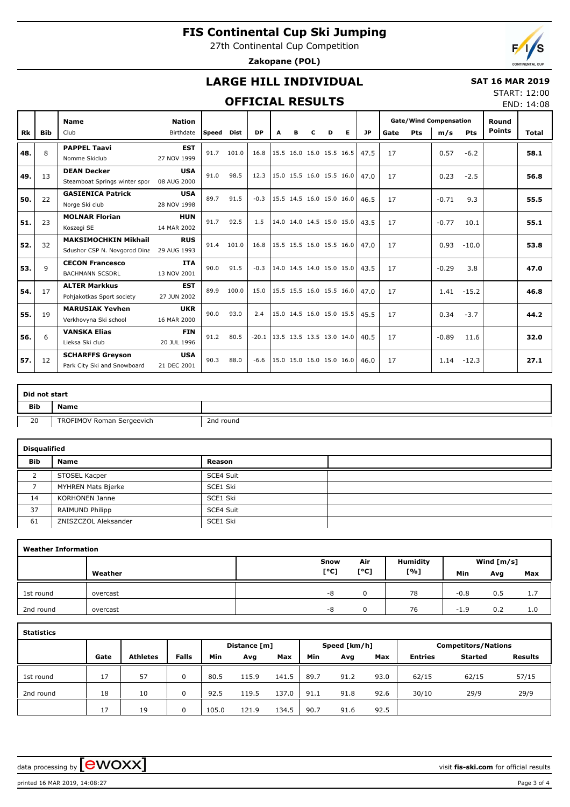27th Continental Cup Competition

**Zakopane (POL)**



## **LARGE HILL INDIVIDUAL**

#### **SAT 16 MAR 2019**

#### **OFFICIAL RESULTS**

START: 12:00 END: 14:08

|           |            | <b>Name</b>                   | <b>Nation</b> |       |       |           |   |   |   |                          |           |      |     | <b>Gate/Wind Compensation</b> |            | Round         |       |
|-----------|------------|-------------------------------|---------------|-------|-------|-----------|---|---|---|--------------------------|-----------|------|-----|-------------------------------|------------|---------------|-------|
| <b>Rk</b> | <b>Bib</b> | Club                          | Birthdate     | Speed | Dist  | <b>DP</b> | A | R | D | Е                        | <b>JP</b> | Gate | Pts | m/s                           | <b>Pts</b> | <b>Points</b> | Total |
| 48.       | 8          | <b>PAPPEL Taavi</b>           | <b>EST</b>    | 91.7  | 101.0 | 16.8      |   |   |   | 15.5 16.0 16.0 15.5 16.5 | 47.5      | 17   |     | 0.57                          | $-6.2$     |               | 58.1  |
|           |            | Nomme Skiclub                 | 27 NOV 1999   |       |       |           |   |   |   |                          |           |      |     |                               |            |               |       |
| 49.       | 13         | <b>DEAN Decker</b>            | <b>USA</b>    | 91.0  | 98.5  | 12.3      |   |   |   | 15.0 15.5 16.0 15.5 16.0 | 47.0      | 17   |     | 0.23                          | $-2.5$     |               | 56.8  |
|           |            | Steamboat Springs winter spor | 08 AUG 2000   |       |       |           |   |   |   |                          |           |      |     |                               |            |               |       |
| 50.       | 22         | <b>GASIENICA Patrick</b>      | <b>USA</b>    | 89.7  | 91.5  | $-0.3$    |   |   |   | 15.5 14.5 16.0 15.0 16.0 | 46.5      | 17   |     | $-0.71$                       | 9.3        |               | 55.5  |
|           |            | Norge Ski club                | 28 NOV 1998   |       |       |           |   |   |   |                          |           |      |     |                               |            |               |       |
| 51.       | 23         | <b>MOLNAR Florian</b>         | <b>HUN</b>    | 91.7  | 92.5  | 1.5       |   |   |   | 14.0 14.0 14.5 15.0 15.0 | 43.5      | 17   |     | $-0.77$                       | 10.1       |               | 55.1  |
|           |            | Koszegi SE                    | 14 MAR 2002   |       |       |           |   |   |   |                          |           |      |     |                               |            |               |       |
| 52.       | 32         | <b>MAKSIMOCHKIN Mikhail</b>   | <b>RUS</b>    | 91.4  | 101.0 | 16.8      |   |   |   | 15.5 15.5 16.0 15.5 16.0 | 47.0      | 17   |     | 0.93                          | $-10.0$    |               | 53.8  |
|           |            | Sdushor CSP N. Novgorod Dina  | 29 AUG 1993   |       |       |           |   |   |   |                          |           |      |     |                               |            |               |       |
| 53.       | 9          | <b>CECON Francesco</b>        | <b>ITA</b>    | 90.0  | 91.5  | $-0.3$    |   |   |   | 14.0 14.5 14.0 15.0 15.0 | 43.5      | 17   |     | $-0.29$                       | 3.8        |               | 47.0  |
|           |            | <b>BACHMANN SCSDRL</b>        | 13 NOV 2001   |       |       |           |   |   |   |                          |           |      |     |                               |            |               |       |
| 54.       | 17         | <b>ALTER Markkus</b>          | <b>EST</b>    | 89.9  | 100.0 | 15.0      |   |   |   | 15.5 15.5 16.0 15.5 16.0 | 47.0      | 17   |     | 1.41                          | $-15.2$    |               | 46.8  |
|           |            | Pohjakotkas Sport society     | 27 JUN 2002   |       |       |           |   |   |   |                          |           |      |     |                               |            |               |       |
| 55.       | 19         | <b>MARUSIAK Yevhen</b>        | <b>UKR</b>    | 90.0  | 93.0  | 2.4       |   |   |   | 15.0 14.5 16.0 15.0 15.5 | 45.5      | 17   |     | 0.34                          | $-3.7$     |               | 44.2  |
|           |            | Verkhovyna Ski school         | 16 MAR 2000   |       |       |           |   |   |   |                          |           |      |     |                               |            |               |       |
| 56.       | 6          | <b>VANSKA Elias</b>           | <b>FIN</b>    | 91.2  | 80.5  | $-20.1$   |   |   |   | 13.5 13.5 13.5 13.0 14.0 | 40.5      | 17   |     | $-0.89$                       | 11.6       |               | 32.0  |
|           |            | Lieksa Ski club               | 20 JUL 1996   |       |       |           |   |   |   |                          |           |      |     |                               |            |               |       |
| 57.       | 12         | <b>SCHARFFS Greyson</b>       | <b>USA</b>    | 90.3  | 88.0  | $-6.6$    |   |   |   | 15.0 15.0 16.0 15.0 16.0 | 46.0      | 17   |     | 1.14                          | $-12.3$    |               | 27.1  |
|           |            | Park City Ski and Snowboard   | 21 DEC 2001   |       |       |           |   |   |   |                          |           |      |     |                               |            |               |       |

|            | Did not start             |           |  |  |  |  |  |  |  |  |  |
|------------|---------------------------|-----------|--|--|--|--|--|--|--|--|--|
| <b>Bib</b> | <b>Name</b>               |           |  |  |  |  |  |  |  |  |  |
| 20         | TROFIMOV Roman Sergeevich | 2nd round |  |  |  |  |  |  |  |  |  |

|            | <b>Disqualified</b>   |           |  |  |  |  |  |  |  |  |  |  |  |
|------------|-----------------------|-----------|--|--|--|--|--|--|--|--|--|--|--|
| <b>Bib</b> | Name                  | Reason    |  |  |  |  |  |  |  |  |  |  |  |
|            | STOSEL Kacper         | SCE4 Suit |  |  |  |  |  |  |  |  |  |  |  |
|            | MYHREN Mats Bjerke    | SCE1 Ski  |  |  |  |  |  |  |  |  |  |  |  |
| 14         | <b>KORHONEN Janne</b> | SCE1 Ski  |  |  |  |  |  |  |  |  |  |  |  |
| 37         | RAIMUND Philipp       | SCE4 Suit |  |  |  |  |  |  |  |  |  |  |  |
| 61         | ZNISZCZOL Aleksander  | SCE1 Ski  |  |  |  |  |  |  |  |  |  |  |  |

|           | <b>Weather Information</b> |      |      |                 |        |              |     |  |  |  |  |  |  |  |  |
|-----------|----------------------------|------|------|-----------------|--------|--------------|-----|--|--|--|--|--|--|--|--|
|           |                            | Snow | Air  | <b>Humidity</b> |        | Wind $[m/s]$ |     |  |  |  |  |  |  |  |  |
|           | Weather                    | [°C] | [°C] | [%]             | Min    | Avg          | Max |  |  |  |  |  |  |  |  |
| 1st round | overcast                   | -8   |      | 78              | $-0.8$ | 0.5          | 1.7 |  |  |  |  |  |  |  |  |
| 2nd round | overcast                   | -8   |      | 76              | $-1.9$ | 0.2          | 1.0 |  |  |  |  |  |  |  |  |

| ۰.<br>۰,<br>× |
|---------------|
|---------------|

|           |      |                 |              |       | Distance [m] |       |      | Speed [km/h] |      | <b>Competitors/Nations</b> |         |                |  |  |
|-----------|------|-----------------|--------------|-------|--------------|-------|------|--------------|------|----------------------------|---------|----------------|--|--|
|           | Gate | <b>Athletes</b> | <b>Falls</b> | Min   | Avg          | Max   | Min  | Avg          | Max  | <b>Entries</b>             | Started | <b>Results</b> |  |  |
| 1st round | 17   | 57              | $\Omega$     | 80.5  | 115.9        | 141.5 | 89.7 | 91.2         | 93.0 | 62/15                      | 62/15   | 57/15          |  |  |
| 2nd round | 18   | 10              | $\Omega$     | 92.5  | 119.5        | 137.0 | 91.1 | 91.8         | 92.6 | 30/10                      | 29/9    | 29/9           |  |  |
|           | 17   | 19              | 0            | 105.0 | 121.9        | 134.5 | 90.7 | 91.6         | 92.5 |                            |         |                |  |  |

data processing by **CWOXX**  $\blacksquare$ 

printed 16 MAR 2019, 14:08:27 Page 3 of 4